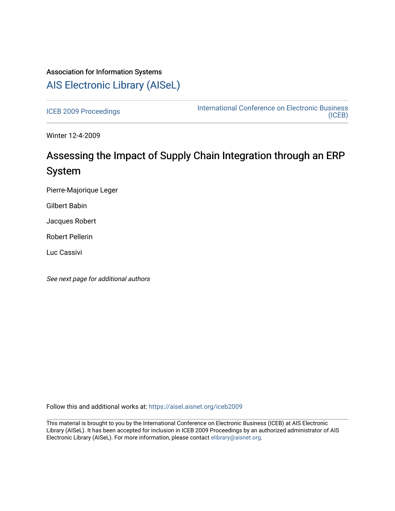# Association for Information Systems [AIS Electronic Library \(AISeL\)](https://aisel.aisnet.org/)

[ICEB 2009 Proceedings](https://aisel.aisnet.org/iceb2009) **International Conference on Electronic Business** [\(ICEB\)](https://aisel.aisnet.org/iceb) 

Winter 12-4-2009

# Assessing the Impact of Supply Chain Integration through an ERP System

Pierre-Majorique Leger

Gilbert Babin

Jacques Robert

Robert Pellerin

Luc Cassivi

See next page for additional authors

Follow this and additional works at: [https://aisel.aisnet.org/iceb2009](https://aisel.aisnet.org/iceb2009?utm_source=aisel.aisnet.org%2Ficeb2009%2F82&utm_medium=PDF&utm_campaign=PDFCoverPages)

This material is brought to you by the International Conference on Electronic Business (ICEB) at AIS Electronic Library (AISeL). It has been accepted for inclusion in ICEB 2009 Proceedings by an authorized administrator of AIS Electronic Library (AISeL). For more information, please contact [elibrary@aisnet.org.](mailto:elibrary@aisnet.org%3E)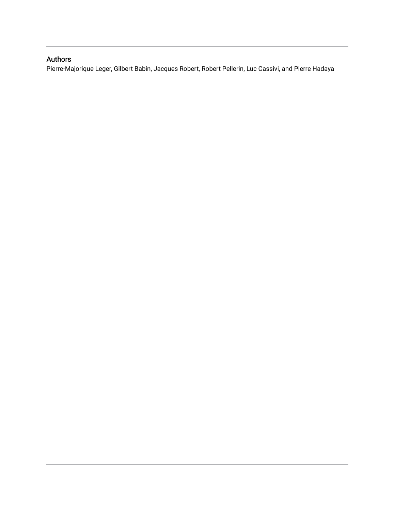# Authors

Pierre-Majorique Leger, Gilbert Babin, Jacques Robert, Robert Pellerin, Luc Cassivi, and Pierre Hadaya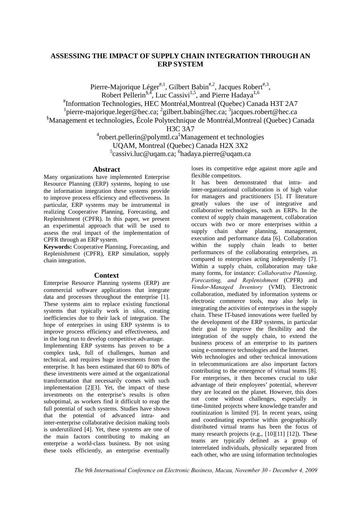# **ASSESSING THE IMPACT OF SUPPLY CHAIN INTEGRATION THROUGH AN ERP SYSTEM**

Pierre-Majorique Léger<sup>#,1</sup>, Gilbert Babin<sup>#,2</sup>, Jacques Robert<sup>#,3</sup>, Robert Pellerin<sup>§,4</sup>, Luc Cassivi<sup>‡,5</sup>, and Pierre Hadaya<sup>‡,6</sup>

# Information Technologies, HEC Montréal,Montreal (Quebec) Canada H3T 2A7

<sup>1</sup> pierre-majorique.leger@hec.ca; <sup>2</sup> gilbert.babin@hec.ca; <sup>3</sup> jacques.robert@hec.ca

§ Management et technologies, École Polytechnique de Montréal,Montreal (Quebec) Canada

H3C 3A7

4 robert.pellerin@polymtl.ca‡ Management et technologies UQAM, Montreal (Quebec) Canada H2X 3X2 <sup>5</sup>cassivi.luc@uqam.ca; <sup>6</sup>hadaya.pierre@uqam.ca

### **Abstract**

Many organizations have implemented Enterprise Resource Planning (ERP) systems, hoping to use the information integration these systems provide to improve process efficiency and effectiveness. In particular, ERP systems may be instrumental in realizing Cooperative Planning, Forecasting, and Replenishment (CPFR). In this paper, we present an experimental approach that will be used to assess the real impact of the implementation of CPFR through an ERP system.

**Keywords:** Cooperative Planning, Forecasting, and Replenishment (CPFR), ERP simulation, supply chain integration.

# **Context**

Enterprise Resource Planning systems (ERP) are commercial software applications that integrate data and processes throughout the enterprise [1]. These systems aim to replace existing functional systems that typically work in silos, creating inefficiencies due to their lack of integration. The hope of enterprises in using ERP systems is to improve process efficiency and effectiveness, and in the long run to develop competitive advantage.

Implementing ERP systems has proven to be a complex task, full of challenges, human and technical, and requires huge investments from the enterprise. It has been estimated that 60 to 80% of these investments were aimed at the organizational transformation that necessarily comes with such implementation [2][3]. Yet, the impact of these investments on the enterprise's results is often suboptimal, as workers find it difficult to reap the full potential of such systems. Studies have shown that the potential of advanced intra- and inter-enterprise collaborative decision making tools is underutilized [4]. Yet, these systems are one of the main factors contributing to making an enterprise a world-class business. By not using these tools efficiently, an enterprise eventually

loses its competitive edge against more agile and flexible competitors.

It has been demonstrated that intra- and inter-organizational collaboration is of high value for managers and practitioners [5]. IT literature greatly values the use of integrative and collaborative technologies, such as ERPs. In the context of supply chain management, collaboration occurs with two or more enterprises within a supply chain share planning, management, execution and performance data [6]. Collaboration within the supply chain leads to better performances of the collaborating enterprises, as compared to enterprises acting independently [7]. Within a supply chain, collaboration may take many forms, for instance: *Collaborative Planning, Forecasting, and Replenishment* (CPFR) and *Vendor-Managed Inventory* (VMI). Electronic collaboration, mediated by information systems or electronic commerce tools, may also help in integrating the activities of enterprises in the supply chain. These IT-based innovations were fuelled by the development of the ERP systems, in particular their goal to improve the flexibility and the integration of the supply chain, to extend the business process of an enterprise to its partners using e-commerce technologies and the Internet.

Web technologies and other technical innovations in telecommunications are also important factors contributing to the emergence of virtual teams [8]. For enterprises, it then becomes crucial to take advantage of their employees' potential, wherever they are located on the planet. However, this does not come without challenges, especially in time-limited projects where knowledge transfer and routinization is limited [9]. In recent years, using and coordinating expertise within geographically distributed virtual teams has been the focus of many research projects (e.g., [10][11] [12]). These teams are typically defined as a group of interrelated individuals, physically separated from each other, who are using information technologies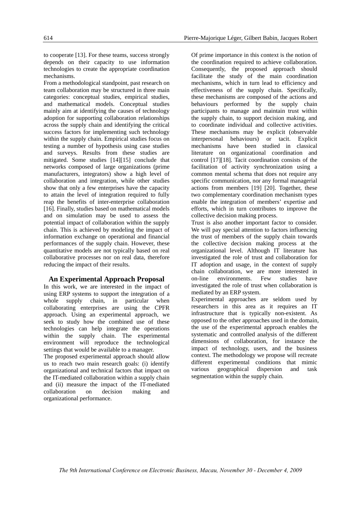to cooperate [13]. For these teams, success strongly depends on their capacity to use information technologies to create the appropriate coordination mechanisms.

From a methodological standpoint, past research on team collaboration may be structured in three main categories: conceptual studies, empirical studies, and mathematical models. Conceptual studies mainly aim at identifying the causes of technology adoption for supporting collaboration relationships across the supply chain and identifying the critical success factors for implementing such technology within the supply chain. Empirical studies focus on testing a number of hypothesis using case studies and surveys. Results from these studies are mitigated. Some studies [14][15] conclude that networks composed of large organizations (prime manufacturers, integrators) show a high level of collaboration and integration, while other studies show that only a few enterprises have the capacity to attain the level of integration required to fully reap the benefits of inter-enterprise collaboration [16]. Finally, studies based on mathematical models and on simulation may be used to assess the potential impact of collaboration within the supply chain. This is achieved by modeling the impact of information exchange on operational and financial performances of the supply chain. However, these quantitative models are not typically based on real collaborative processes nor on real data, therefore reducing the impact of their results.

#### **An Experimental Approach Proposal**

In this work, we are interested in the impact of using ERP systems to support the integration of a whole supply chain, in particular when collaborating enterprises are using the CPFR approach. Using an experimental approach, we seek to study how the combined use of these technologies can help integrate the operations within the supply chain. The experimental environment will reproduce the technological settings that would be available to a manager.

The proposed experimental approach should allow us to reach two main research goals: (i) identify organizational and technical factors that impact on the IT-mediated collaboration within a supply chain and (ii) measure the impact of the IT-mediated collaboration on decision making and organizational performance.

Of prime importance in this context is the notion of the coordination required to achieve collaboration. Consequently, the proposed approach should facilitate the study of the main coordination mechanisms, which in turn lead to efficiency and effectiveness of the supply chain. Specifically, these mechanisms are composed of the actions and behaviours performed by the supply chain participants to manage and maintain trust within the supply chain, to support decision making, and to coordinate individual and collective activities. These mechanisms may be explicit (observable interpersonal behaviours) or tacit. Explicit mechanisms have been studied in classical literature on organizational coordination and control [17][18]. Tacit coordination consists of the facilitation of activity synchronization using a common mental schema that does not require any specific communication, nor any formal managerial actions from members [19] [20]. Together, these two complementary coordination mechanism types enable the integration of members' expertise and efforts, which in turn contributes to improve the collective decision making process.

Trust is also another important factor to consider. We will pay special attention to factors influencing the trust of members of the supply chain towards the collective decision making process at the organizational level. Although IT literature has investigated the role of trust and collaboration for IT adoption and usage, in the context of supply chain collaboration, we are more interested in on-line environments. Few studies have investigated the role of trust when collaboration is mediated by an ERP system.

Experimental approaches are seldom used by researchers in this area as it requires an IT infrastructure that is typically non-existent. As opposed to the other approaches used in the domain, the use of the experimental approach enables the systematic and controlled analysis of the different dimensions of collaboration, for instance the impact of technology, users, and the business context. The methodology we propose will recreate different experimental conditions that mimic various geographical dispersion and task segmentation within the supply chain.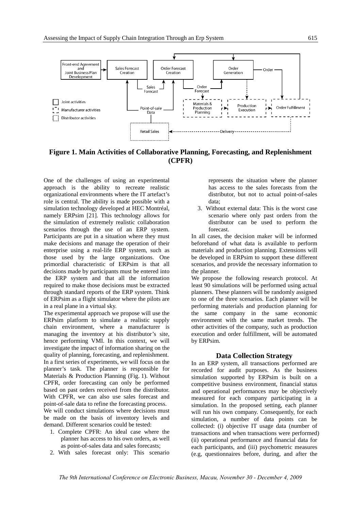

**Figure 1. Main Activities of Collaborative Planning, Forecasting, and Replenishment (CPFR)** 

One of the challenges of using an experimental approach is the ability to recreate realistic organizational environments where the IT artefact's role is central. The ability is made possible with a simulation technology developed at HEC Montréal, namely ERPsim [21]. This technology allows for the simulation of extremely realistic collaboration scenarios through the use of an ERP system. Participants are put in a situation where they must make decisions and manage the operation of their enterprise using a real-life ERP system, such as those used by the large organizations. One primordial characteristic of ERPsim is that all decisions made by participants must be entered into the ERP system and that all the information required to make those decisions must be extracted through standard reports of the ERP system. Think of ERPsim as a flight simulator where the pilots are in a real plane in a virtual sky.

The experimental approach we propose will use the ERPsim platform to simulate a realistic supply chain environment, where a manufacturer is managing the inventory at his distributor's site, hence performing VMI. In this context, we will investigate the impact of information sharing on the quality of planning, forecasting, and replenishment. In a first series of experiments, we will focus on the planner's task. The planner is responsible for Materials & Production Planning (Fig. 1). Without CPFR, order forecasting can only be performed based on past orders received from the distributor. With CPFR, we can also use sales forecast and point-of-sale data to refine the forecasting process. We will conduct simulations where decisions must

be made on the basis of inventory levels and demand. Different scenarios could be tested:

- 1. Complete CPFR: An ideal case where the planner has access to his own orders, as well as point-of-sales data and sales forecasts;
- 2. With sales forecast only: This scenario

represents the situation where the planner has access to the sales forecasts from the distributor, but not to actual point-of-sales data;

3. Without external data: This is the worst case scenario where only past orders from the distributor can be used to perform the forecast.

In all cases, the decision maker will be informed beforehand of what data is available to perform materials and production planning. Extensions will be developed in ERPsim to support these different scenarios, and provide the necessary information to the planner.

We propose the following research protocol. At least 90 simulations will be performed using actual planners. These planners will be randomly assigned to one of the three scenarios. Each planner will be performing materials and production planning for the same company in the same economic environment with the same market trends. The other activities of the company, such as production execution and order fulfillment, will be automated by ERPsim.

#### **Data Collection Strategy**

In an ERP system, all transactions performed are recorded for audit purposes. As the business simulation supported by ERPsim is built on a competitive business environment, financial status and operational performances may be objectively measured for each company participating in a simulation. In the proposed setting, each planner will run his own company. Consequently, for each simulation, a number of data points can be collected: (i) objective IT usage data (number of transactions and when transactions were performed) (ii) operational performance and financial data for each participants, and (iii) psychometric measures (e.g, questionnaires before, during, and after the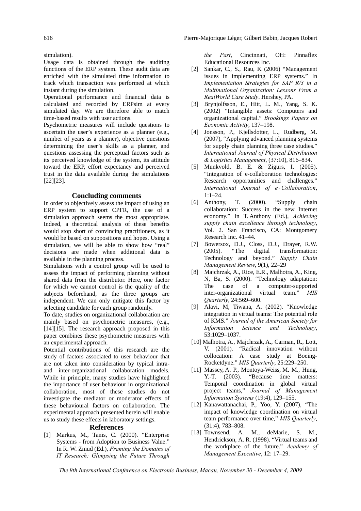simulation).

Usage data is obtained through the auditing functions of the ERP system. These audit data are enriched with the simulated time information to track which transaction was performed at which instant during the simulation.

Operational performance and financial data is calculated and recorded by ERPsim at every simulated day. We are therefore able to match time-based results with user actions.

Psychometric measures will include questions to ascertain the user's experience as a planner (e.g., number of years as a planner), objective questions determining the user's skills as a planner, and questions assessing the perceptual factors such as its perceived knowledge of the system, its attitude toward the ERP, effort expectancy and perceived trust in the data available during the simulations [22][23].

## **Concluding comments**

In order to objectively assess the impact of using an ERP system to support CPFR, the use of a simulation approach seems the most appropriate. Indeed, a theoretical analysis of these benefits would stop short of convincing practitioners, as it would be based on suppositions and hopes. Using a simulation, we will be able to show how "real" decisions are made when additional data is available in the planning process.

Simulations with a control group will be used to assess the impact of performing planning without shared data from the distributor. Here, one factor for which we cannot control is the quality of the subjects beforehand, as the three groups are independent. We can only mitigate this factor by selecting candidate for each group randomly.

To date, studies on organizational collaboration are mainly based on psychometric measures, (e.g., [14][15]. The research approach proposed in this paper combines these psychometric measures with an experimental approach.

Potential contributions of this research are the study of factors associated to user behaviour that are not taken into consideration by typical intraand inter-organizational collaboration models. While in principle, many studies have highlighted the importance of user behaviour in organizational collaboration, most of these studies do not investigate the mediator or moderator effects of these behavioural factors on collaboration. The experimental approach presented herein will enable us to study these effects in laboratory settings.

#### **References**

[1] Markus, M., Tanis, C. (2000). "Enterprise Systems - from Adoption to Business Value." In R. W. Zmud (Ed.), *Framing the Domains of IT Research: Glimpsing the Future Through* 

*the Past*, Cincinnati, OH: Pinnaflex Educational Resources Inc.

- [2] Sankar, C., S., Rau, K (2006) "Management issues in implementing ERP systems." In *Implementation Strategies for SAP R/3 in a Multinational Organization: Lessons From a RealWorld Case Study*. Hershey, PA.
- [3] Brynjolfsson, E., Hitt, L. M., Yang, S. K. (2002) "Intangible assets: Computers and organizational capital." *Brookings Papers on Economic Activity*, 137–198.
- [4] Jonsson, P., Kjellsdotter, L., Rudberg, M. (2007), "Applying advanced planning systems for supply chain planning three case studies." *International Journal of Physical Distribution & Logistics Management*, (37:10), 816–834.
- [5] Munkvold, B. E. & Zigurs, I. (2005). "Integration of e-collaboration technologies: Research opportunities and challenges." *International Journal of e-Collaboration*, 1:1–24.
- [6] Anthony, T. (2000). "Supply chain collaboration: Success in the new Internet economy." In T. Anthony (Ed.), *Achieving supply chain excellence through technology*, Vol. 2. San Francisco, CA: Montgomery Research Inc. 41–44.
- [7] Bowersox, D.J., Closs, D.J., Drayer, R.W. (2005). "The digital transformation: Technology and beyond." *Supply Chain Management Review*, 9(1), 22–29
- [8] Majchrzak, A., Rice, E.R., Malhotra, A., King, N, Ba, S. (2000). "Technology adaptation: The case of a computer-supported inter-organizational virtual team." *MIS Quarterly*, 24:569–600.
- [9] Alavi, M, Tiwana, A. (2002). "Knowledge integration in virtual teams: The potential role of KMS." *Journal of the American Society for Information Science and Technology*, 53:1029–1037.
- [10] Malhotra, A., Majchrzak, A., Carman, R., Lott, V. (2001). "Radical innovation without collocation: A case study at Boeing-Rocketdyne." *MIS Quarterly*, 25:229–250.
- [11] Massey, A. P., Montoya-Weiss, M. M., Hung, Y.-T. (2003). "Because time matters: Temporal coordination in global virtual project teams," *Journal of Management Information Systems* (19:4), 129–155.
- [12] Kanawattanachai, P., Yoo, Y. (2007), "The impact of knowledge coordination on virtual team performance over time," *MIS Quarterly*, (31:4), 783–808.
- [13] Townsend, A. M., deMarie, S. M., Hendrickson, A. R. (1998). "Virtual teams and the workplace of the future." *Academy of Management Executive*, 12: 17–29.

*The 9th International Conference on Electronic Business, Macau, November 30 - December 4, 2009*